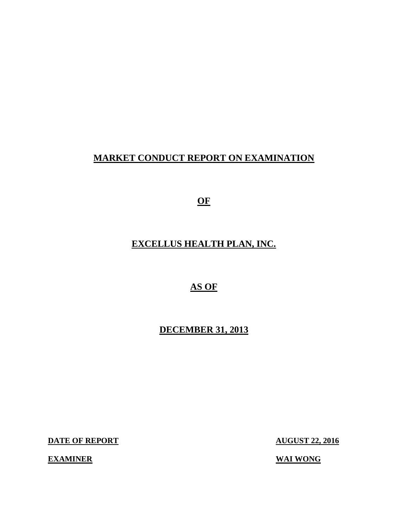# **MARKET CONDUCT REPORT ON EXAMINATION**

**OF** 

# **EXCELLUS HEALTH PLAN, INC.**

**AS OF** 

**DECEMBER 31, 2013** 

**DATE OF REPORT** 

**EXAMINER** WAI WONG

**AUGUST 22, 2016**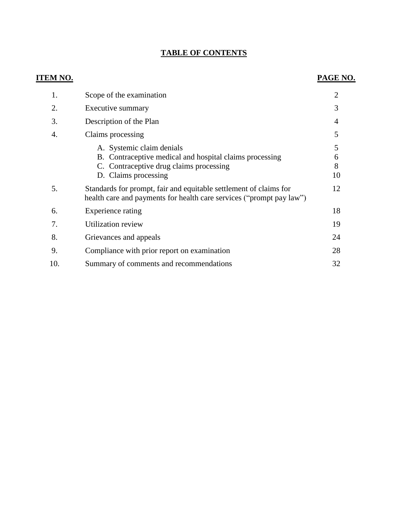#### **TABLE OF CONTENTS**

# **ITEM NO. PAGE NO.**  1. Scope of the examination 2 2. Executive summary 3 3. Description of the Plan 4 4. Claims processing 5 A. Systemic claim denials 5 B. Contraceptive medical and hospital claims processing 6 C. Contraceptive drug claims processing 8 D. Claims processing 10 [5. Standards for prompt, fair and equitable settlement of claims for 12](#page-13-0)  health care and payments for health care services ("prompt pay law") [6. Experience rating 18](#page-19-0)  [7. Utilization review 19](#page-20-0)  [8. Grievances and appeals 24](#page-25-0)  [9. Compliance with prior report on examination 28](#page-29-0)  10. Summary of comments and recommendations 32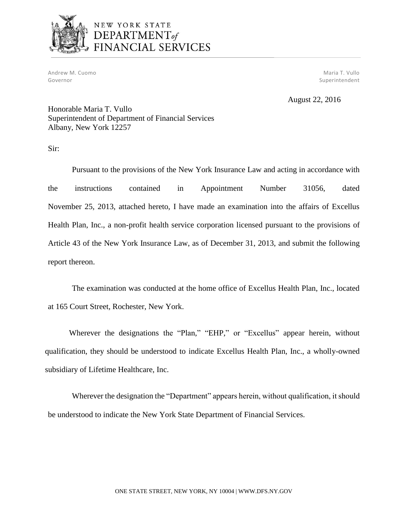

# NEW YORK STATE DEPARTMENT<sub>of</sub> FINANCIAL SERVICES

Andrew M. Cuomo National Andrew Maria T. Vullo National Andrew Maria T. Vullo National Andrew Maria T. Vullo N Governor Superintendent Superintendent Superintendent Superintendent Superintendent Superintendent Superintendent

August 22, 2016

Honorable Maria T. Vullo Superintendent of Department of Financial Services Albany, New York 12257

Sir:

 November 25, 2013, attached hereto, I have made an examination into the affairs of Excellus Health Plan, Inc., a non-profit health service corporation licensed pursuant to the provisions of Article 43 of the New York Insurance Law, as of December 31, 2013, and submit the following Pursuant to the provisions of the New York Insurance Law and acting in accordance with the instructions contained in Appointment Number 31056, dated report thereon.

The examination was conducted at the home office of Excellus Health Plan, Inc., located at 165 Court Street, Rochester, New York.

 qualification, they should be understood to indicate Excellus Health Plan, Inc., a wholly-owned Wherever the designations the "Plan," "EHP," or "Excellus" appear herein, without subsidiary of Lifetime Healthcare, Inc.

 Wherever the designation the "Department" appears herein, without qualification, it should be understood to indicate the New York State Department of Financial Services.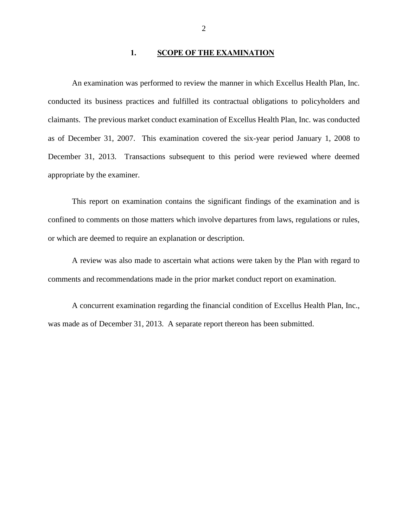#### 1. SCOPE OF THE EXAMINATION

<span id="page-3-0"></span> An examination was performed to review the manner in which Excellus Health Plan, Inc. conducted its business practices and fulfilled its contractual obligations to policyholders and claimants. The previous market conduct examination of Excellus Health Plan, Inc. was conducted as of December 31, 2007. This examination covered the six-year period January 1, 2008 to December 31, 2013. Transactions subsequent to this period were reviewed where deemed appropriate by the examiner.

 This report on examination contains the significant findings of the examination and is confined to comments on those matters which involve departures from laws, regulations or rules, or which are deemed to require an explanation or description.

 A review was also made to ascertain what actions were taken by the Plan with regard to comments and recommendations made in the prior market conduct report on examination.

 A concurrent examination regarding the financial condition of Excellus Health Plan, Inc., was made as of December 31, 2013. A separate report thereon has been submitted.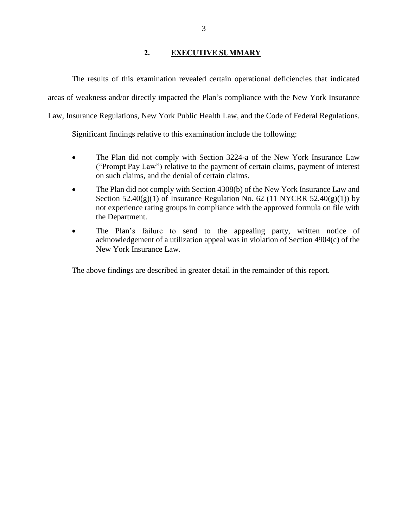#### **2. EXECUTIVE SUMMARY**

<span id="page-4-0"></span> areas of weakness and/or directly impacted the Plan's compliance with the New York Insurance Law, Insurance Regulations, New York Public Health Law, and the Code of Federal Regulations. The results of this examination revealed certain operational deficiencies that indicated

Significant findings relative to this examination include the following:

- The Plan did not comply with Section 3224-a of the New York Insurance Law ("Prompt Pay Law") relative to the payment of certain claims, payment of interest on such claims, and the denial of certain claims.
- The Plan did not comply with Section 4308(b) of the New York Insurance Law and Section  $52.40(g)(1)$  of Insurance Regulation No. 62 (11 NYCRR  $52.40(g)(1)$ ) by not experience rating groups in compliance with the approved formula on file with the Department.
- The Plan's failure to send to the appealing party, written notice of New York Insurance Law. acknowledgement of a utilization appeal was in violation of Section 4904(c) of the

The above findings are described in greater detail in the remainder of this report.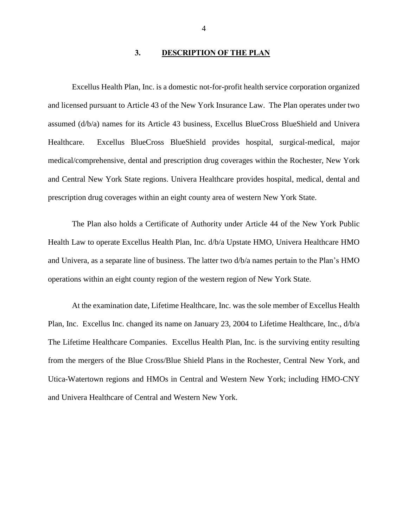#### **3. DESCRIPTION OF THE PLAN**

<span id="page-5-0"></span> Excellus Health Plan, Inc. is a domestic not-for-profit health service corporation organized and licensed pursuant to Article 43 of the New York Insurance Law. The Plan operates under two Healthcare. medical/comprehensive, dental and prescription drug coverages within the Rochester, New York and Central New York State regions. Univera Healthcare provides hospital, medical, dental and prescription drug coverages within an eight county area of western New York State. assumed (d/b/a) names for its Article 43 business, Excellus BlueCross BlueShield and Univera Excellus BlueCross BlueShield provides hospital, surgical-medical, major

 The Plan also holds a Certificate of Authority under Article 44 of the New York Public Health Law to operate Excellus Health Plan, Inc. d/b/a Upstate HMO, Univera Healthcare HMO and Univera, as a separate line of business. The latter two d/b/a names pertain to the Plan's HMO operations within an eight county region of the western region of New York State.

 At the examination date, Lifetime Healthcare, Inc. was the sole member of Excellus Health Plan, Inc. Excellus Inc. changed its name on January 23, 2004 to Lifetime Healthcare, Inc., d/b/a The Lifetime Healthcare Companies. Excellus Health Plan, Inc. is the surviving entity resulting from the mergers of the Blue Cross/Blue Shield Plans in the Rochester, Central New York, and Utica-Watertown regions and HMOs in Central and Western New York; including HMO-CNY and Univera Healthcare of Central and Western New York.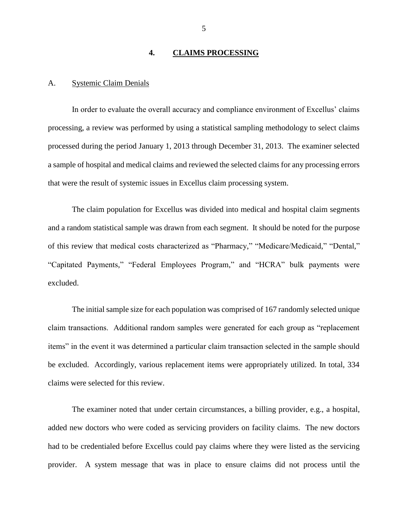#### **4. CLAIMS PROCESSING**

#### <span id="page-6-0"></span>A. Systemic Claim Denials

 In order to evaluate the overall accuracy and compliance environment of Excellus' claims processing, a review was performed by using a statistical sampling methodology to select claims a sample of hospital and medical claims and reviewed the selected claims for any processing errors processed during the period January 1, 2013 through December 31, 2013. The examiner selected that were the result of systemic issues in Excellus claim processing system.

 and a random statistical sample was drawn from each segment. It should be noted for the purpose The claim population for Excellus was divided into medical and hospital claim segments of this review that medical costs characterized as "Pharmacy," "Medicare/Medicaid," "Dental," "Capitated Payments," "Federal Employees Program," and "HCRA" bulk payments were excluded.

 The initial sample size for each population was comprised of 167 randomly selected unique claim transactions. Additional random samples were generated for each group as "replacement items" in the event it was determined a particular claim transaction selected in the sample should be excluded. Accordingly, various replacement items were appropriately utilized. In total, 334 claims were selected for this review.

 The examiner noted that under certain circumstances, a billing provider, e.g., a hospital, added new doctors who were coded as servicing providers on facility claims. The new doctors had to be credentialed before Excellus could pay claims where they were listed as the servicing provider. A system message that was in place to ensure claims did not process until the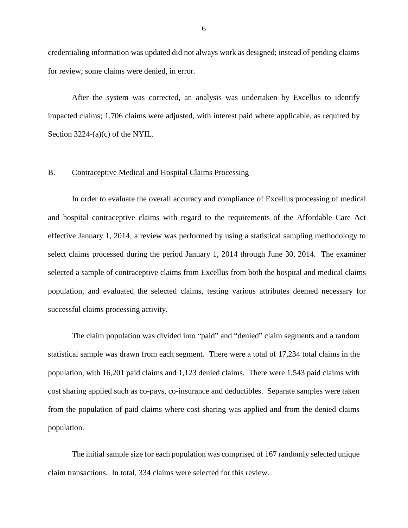<span id="page-7-0"></span> credentialing information was updated did not always work as designed; instead of pending claims for review, some claims were denied, in error.

 impacted claims; 1,706 claims were adjusted, with interest paid where applicable, as required by After the system was corrected, an analysis was undertaken by Excellus to identify Section 3224-(a)(c) of the NYIL.

#### B. Contraceptive Medical and Hospital Claims Processing

 In order to evaluate the overall accuracy and compliance of Excellus processing of medical and hospital contraceptive claims with regard to the requirements of the Affordable Care Act effective January 1, 2014, a review was performed by using a statistical sampling methodology to select claims processed during the period January 1, 2014 through June 30, 2014. The examiner selected a sample of contraceptive claims from Excellus from both the hospital and medical claims population, and evaluated the selected claims, testing various attributes deemed necessary for successful claims processing activity.

 statistical sample was drawn from each segment. There were a total of 17,234 total claims in the cost sharing applied such as co-pays, co-insurance and deductibles. Separate samples were taken from the population of paid claims where cost sharing was applied and from the denied claims The claim population was divided into "paid" and "denied" claim segments and a random population, with 16,201 paid claims and 1,123 denied claims. There were 1,543 paid claims with population.

 The initial sample size for each population was comprised of 167 randomly selected unique claim transactions. In total, 334 claims were selected for this review.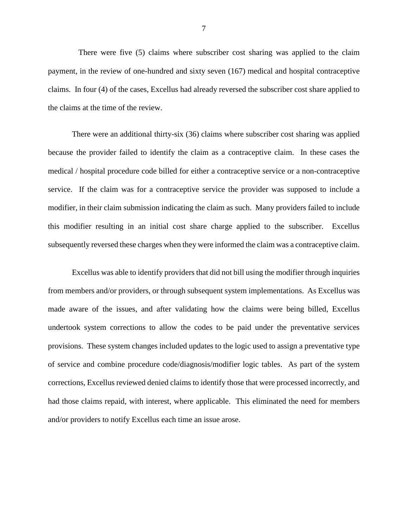There were five (5) claims where subscriber cost sharing was applied to the claim payment, in the review of one-hundred and sixty seven (167) medical and hospital contraceptive claims. In four (4) of the cases, Excellus had already reversed the subscriber cost share applied to the claims at the time of the review.

 There were an additional thirty-six (36) claims where subscriber cost sharing was applied because the provider failed to identify the claim as a contraceptive claim. In these cases the medical / hospital procedure code billed for either a contraceptive service or a non-contraceptive service. If the claim was for a contraceptive service the provider was supposed to include a modifier, in their claim submission indicating the claim as such. Many providers failed to include this modifier resulting in an initial cost share charge applied to the subscriber. Excellus subsequently reversed these charges when they were informed the claim was a contraceptive claim.

 from members and/or providers, or through subsequent system implementations. As Excellus was made aware of the issues, and after validating how the claims were being billed, Excellus provisions. These system changes included updates to the logic used to assign a preventative type of service and combine procedure code/diagnosis/modifier logic tables. As part of the system corrections, Excellus reviewed denied claims to identify those that were processed incorrectly, and had those claims repaid, with interest, where applicable. This eliminated the need for members and/or providers to notify Excellus each time an issue arose. Excellus was able to identify providers that did not bill using the modifier through inquiries undertook system corrections to allow the codes to be paid under the preventative services

7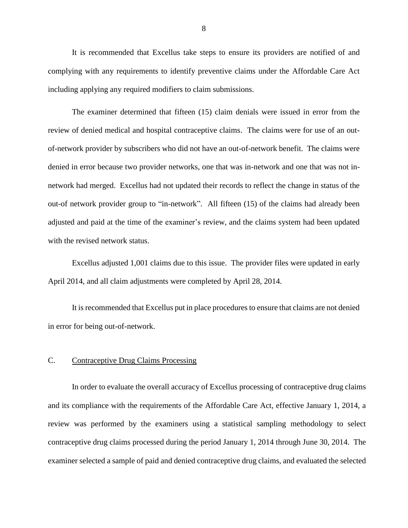<span id="page-9-0"></span> It is recommended that Excellus take steps to ensure its providers are notified of and complying with any requirements to identify preventive claims under the Affordable Care Act including applying any required modifiers to claim submissions.

 The examiner determined that fifteen (15) claim denials were issued in error from the review of denied medical and hospital contraceptive claims. The claims were for use of an out- of-network provider by subscribers who did not have an out-of-network benefit. The claims were denied in error because two provider networks, one that was in-network and one that was not in- out-of network provider group to "in-network". All fifteen (15) of the claims had already been with the revised network status. network had merged. Excellus had not updated their records to reflect the change in status of the adjusted and paid at the time of the examiner's review, and the claims system had been updated

 Excellus adjusted 1,001 claims due to this issue. The provider files were updated in early April 2014, and all claim adjustments were completed by April 28, 2014.

 It is recommended that Excellus put in place procedures to ensure that claims are not denied in error for being out-of-network.

#### C. Contraceptive Drug Claims Processing

 In order to evaluate the overall accuracy of Excellus processing of contraceptive drug claims and its compliance with the requirements of the Affordable Care Act, effective January 1, 2014, a review was performed by the examiners using a statistical sampling methodology to select examiner selected a sample of paid and denied contraceptive drug claims, and evaluated the selected contraceptive drug claims processed during the period January 1, 2014 through June 30, 2014. The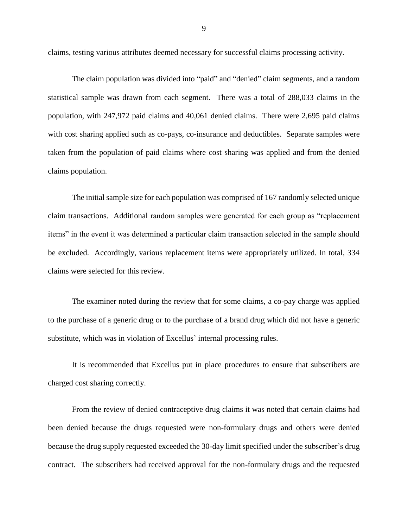claims, testing various attributes deemed necessary for successful claims processing activity.

 The claim population was divided into "paid" and "denied" claim segments, and a random statistical sample was drawn from each segment. There was a total of 288,033 claims in the population, with 247,972 paid claims and 40,061 denied claims. There were 2,695 paid claims with cost sharing applied such as co-pays, co-insurance and deductibles. Separate samples were taken from the population of paid claims where cost sharing was applied and from the denied claims population.

 The initial sample size for each population was comprised of 167 randomly selected unique claim transactions. Additional random samples were generated for each group as "replacement items" in the event it was determined a particular claim transaction selected in the sample should be excluded. Accordingly, various replacement items were appropriately utilized. In total, 334 claims were selected for this review.

 The examiner noted during the review that for some claims, a co-pay charge was applied to the purchase of a generic drug or to the purchase of a brand drug which did not have a generic substitute, which was in violation of Excellus' internal processing rules.

 It is recommended that Excellus put in place procedures to ensure that subscribers are charged cost sharing correctly.

 From the review of denied contraceptive drug claims it was noted that certain claims had been denied because the drugs requested were non-formulary drugs and others were denied because the drug supply requested exceeded the 30-day limit specified under the subscriber's drug contract. The subscribers had received approval for the non-formulary drugs and the requested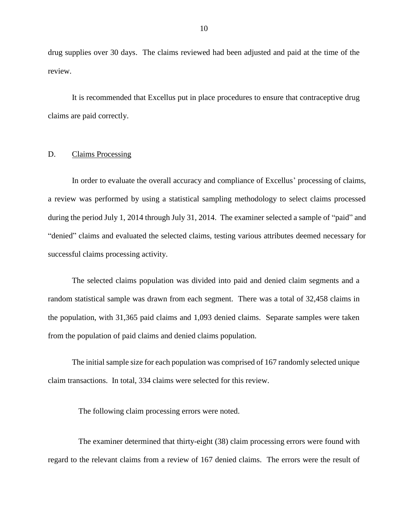<span id="page-11-0"></span> drug supplies over 30 days. The claims reviewed had been adjusted and paid at the time of the review.

 It is recommended that Excellus put in place procedures to ensure that contraceptive drug claims are paid correctly.

#### D. Claims Processing

 In order to evaluate the overall accuracy and compliance of Excellus' processing of claims, a review was performed by using a statistical sampling methodology to select claims processed during the period July 1, 2014 through July 31, 2014. The examiner selected a sample of "paid" and "denied" claims and evaluated the selected claims, testing various attributes deemed necessary for successful claims processing activity.

 random statistical sample was drawn from each segment. There was a total of 32,458 claims in the population, with 31,365 paid claims and 1,093 denied claims. Separate samples were taken The selected claims population was divided into paid and denied claim segments and a from the population of paid claims and denied claims population.

 The initial sample size for each population was comprised of 167 randomly selected unique claim transactions. In total, 334 claims were selected for this review.

The following claim processing errors were noted.

 The examiner determined that thirty-eight (38) claim processing errors were found with regard to the relevant claims from a review of 167 denied claims. The errors were the result of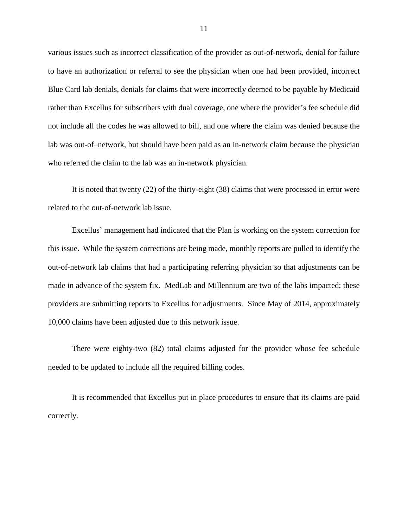various issues such as incorrect classification of the provider as out-of-network, denial for failure rather than Excellus for subscribers with dual coverage, one where the provider's fee schedule did not include all the codes he was allowed to bill, and one where the claim was denied because the lab was out-of–network, but should have been paid as an in-network claim because the physician who referred the claim to the lab was an in-network physician. to have an authorization or referral to see the physician when one had been provided, incorrect Blue Card lab denials, denials for claims that were incorrectly deemed to be payable by Medicaid

 It is noted that twenty (22) of the thirty-eight (38) claims that were processed in error were related to the out-of-network lab issue.

 this issue. While the system corrections are being made, monthly reports are pulled to identify the out-of-network lab claims that had a participating referring physician so that adjustments can be made in advance of the system fix. MedLab and Millennium are two of the labs impacted; these providers are submitting reports to Excellus for adjustments. Since May of 2014, approximately 10,000 claims have been adjusted due to this network issue. Excellus' management had indicated that the Plan is working on the system correction for

 There were eighty-two (82) total claims adjusted for the provider whose fee schedule needed to be updated to include all the required billing codes.

 It is recommended that Excellus put in place procedures to ensure that its claims are paid correctly.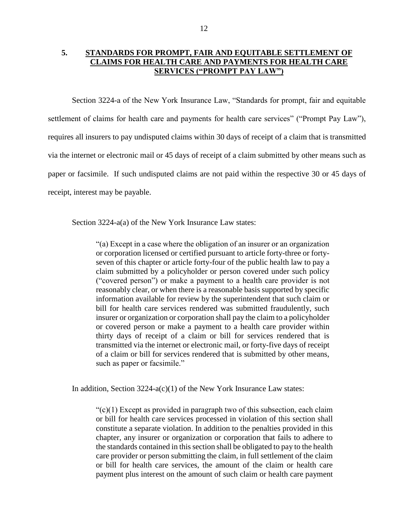### <span id="page-13-0"></span>**5. STANDARDS FOR PROMPT, FAIR AND EQUITABLE SETTLEMENT OF CLAIMS FOR HEALTH CARE AND PAYMENTS FOR HEALTH CARE SERVICES ("PROMPT PAY LAW")**

settlement of claims for health care and payments for health care services" ("Prompt Pay Law"), paper or facsimile. If such undisputed claims are not paid within the respective 30 or 45 days of Section 3224-a of the New York Insurance Law, "Standards for prompt, fair and equitable requires all insurers to pay undisputed claims within 30 days of receipt of a claim that is transmitted via the internet or electronic mail or 45 days of receipt of a claim submitted by other means such as receipt, interest may be payable.

Section 3224-a(a) of the New York Insurance Law states:

 "(a) Except in a case where the obligation of an insurer or an organization or corporation licensed or certified pursuant to article forty-three or forty- seven of this chapter or article forty-four of the public health law to pay a claim submitted by a policyholder or person covered under such policy ("covered person") or make a payment to a health care provider is not reasonably clear, or when there is a reasonable basis supported by specific bill for health care services rendered was submitted fraudulently, such insurer or organization or corporation shall pay the claim to a policyholder or covered person or make a payment to a health care provider within thirty days of receipt of a claim or bill for services rendered that is of a claim or bill for services rendered that is submitted by other means, information available for review by the superintendent that such claim or transmitted via the internet or electronic mail, or forty-five days of receipt such as paper or facsimile."

In addition, Section 3224-a(c)(1) of the New York Insurance Law states:

 $C<sub>c</sub>(1)$  Except as provided in paragraph two of this subsection, each claim or bill for health care services processed in violation of this section shall chapter, any insurer or organization or corporation that fails to adhere to the standards contained in this section shall be obligated to pay to the health care provider or person submitting the claim, in full settlement of the claim or bill for health care services, the amount of the claim or health care constitute a separate violation. In addition to the penalties provided in this payment plus interest on the amount of such claim or health care payment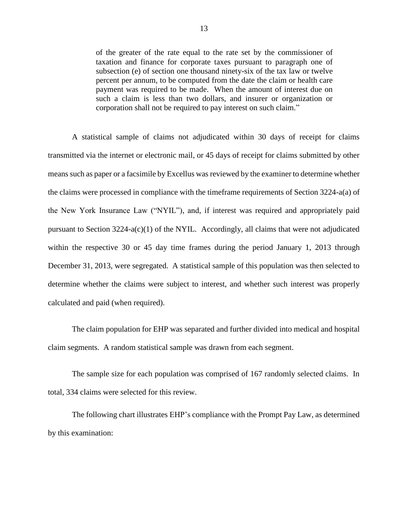of the greater of the rate equal to the rate set by the commissioner of taxation and finance for corporate taxes pursuant to paragraph one of subsection (e) of section one thousand ninety-six of the tax law or twelve percent per annum, to be computed from the date the claim or health care payment was required to be made. When the amount of interest due on such a claim is less than two dollars, and insurer or organization or corporation shall not be required to pay interest on such claim."

 A statistical sample of claims not adjudicated within 30 days of receipt for claims transmitted via the internet or electronic mail, or 45 days of receipt for claims submitted by other means such as paper or a facsimile by Excellus was reviewed by the examiner to determine whether the claims were processed in compliance with the timeframe requirements of Section 3224-a(a) of the New York Insurance Law ("NYIL"), and, if interest was required and appropriately paid pursuant to Section 3224-a(c)(1) of the NYIL. Accordingly, all claims that were not adjudicated within the respective 30 or 45 day time frames during the period January 1, 2013 through determine whether the claims were subject to interest, and whether such interest was properly December 31, 2013, were segregated. A statistical sample of this population was then selected to calculated and paid (when required).

 The claim population for EHP was separated and further divided into medical and hospital claim segments. A random statistical sample was drawn from each segment.

 The sample size for each population was comprised of 167 randomly selected claims. In total, 334 claims were selected for this review.

 The following chart illustrates EHP's compliance with the Prompt Pay Law, as determined by this examination: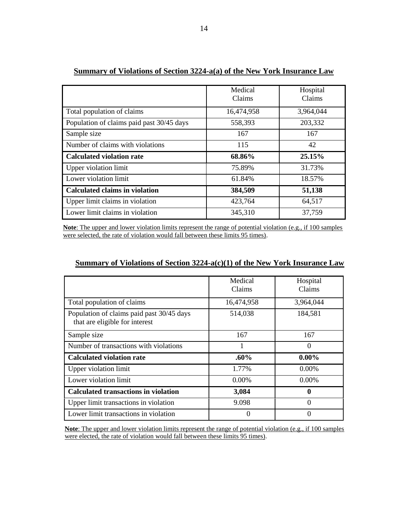|                                           | Medical<br>Claims | Hospital<br>Claims |
|-------------------------------------------|-------------------|--------------------|
| Total population of claims                | 16,474,958        | 3,964,044          |
| Population of claims paid past 30/45 days | 558,393           | 203,332            |
| Sample size                               | 167               | 167                |
| Number of claims with violations          | 115               | 42                 |
| <b>Calculated violation rate</b>          | 68.86%            | 25.15%             |
| <b>Upper violation limit</b>              | 75.89%            | 31.73%             |
| Lower violation limit                     | 61.84%            | 18.57%             |
| <b>Calculated claims in violation</b>     | 384,509           | 51,138             |
| Upper limit claims in violation           | 423,764           | 64,517             |
| Lower limit claims in violation           | 345,310           | 37,759             |

## **Summary of Violations of Section 3224-a(a) of the New York Insurance Law**

**Note**: The upper and lower violation limits represent the range of potential violation (e.g., if 100 samples were selected, the rate of violation would fall between these limits 95 times).

| Summary of Violations of Section $3224-a(c)(1)$ of the New York Insurance Law |
|-------------------------------------------------------------------------------|
|-------------------------------------------------------------------------------|

|                                                                             | Medical<br>Claims | Hospital<br>Claims |  |
|-----------------------------------------------------------------------------|-------------------|--------------------|--|
| Total population of claims                                                  | 16,474,958        | 3,964,044          |  |
| Population of claims paid past 30/45 days<br>that are eligible for interest | 514,038           | 184,581            |  |
| Sample size                                                                 | 167               | 167                |  |
| Number of transactions with violations                                      |                   | $\Omega$           |  |
| <b>Calculated violation rate</b>                                            | $.60\%$           | $0.00\%$           |  |
| Upper violation limit                                                       | 1.77%             | 0.00%              |  |
| Lower violation limit                                                       | 0.00%             | 0.00%              |  |
| <b>Calculated transactions in violation</b>                                 | 3,084             | 0                  |  |
| Upper limit transactions in violation                                       | 9.098             | 0                  |  |
| Lower limit transactions in violation                                       |                   |                    |  |

**Note**: The upper and lower violation limits represent the range of potential violation (e.g., if 100 samples were elected, the rate of violation would fall between these limits 95 times).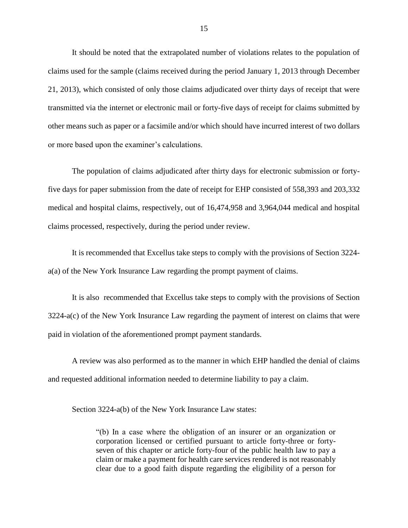21, 2013), which consisted of only those claims adjudicated over thirty days of receipt that were other means such as paper or a facsimile and/or which should have incurred interest of two dollars It should be noted that the extrapolated number of violations relates to the population of claims used for the sample (claims received during the period January 1, 2013 through December transmitted via the internet or electronic mail or forty-five days of receipt for claims submitted by or more based upon the examiner's calculations.

 five days for paper submission from the date of receipt for EHP consisted of 558,393 and 203,332 The population of claims adjudicated after thirty days for electronic submission or fortymedical and hospital claims, respectively, out of 16,474,958 and 3,964,044 medical and hospital claims processed, respectively, during the period under review.

 It is recommended that Excellus take steps to comply with the provisions of Section 3224 a(a) of the New York Insurance Law regarding the prompt payment of claims.

 It is also recommended that Excellus take steps to comply with the provisions of Section 3224-a(c) of the New York Insurance Law regarding the payment of interest on claims that were paid in violation of the aforementioned prompt payment standards.

 and requested additional information needed to determine liability to pay a claim. A review was also performed as to the manner in which EHP handled the denial of claims

Section 3224-a(b) of the New York Insurance Law states:

 "(b) In a case where the obligation of an insurer or an organization or seven of this chapter or article forty-four of the public health law to pay a claim or make a payment for health care services rendered is not reasonably clear due to a good faith dispute regarding the eligibility of a person for corporation licensed or certified pursuant to article forty-three or forty-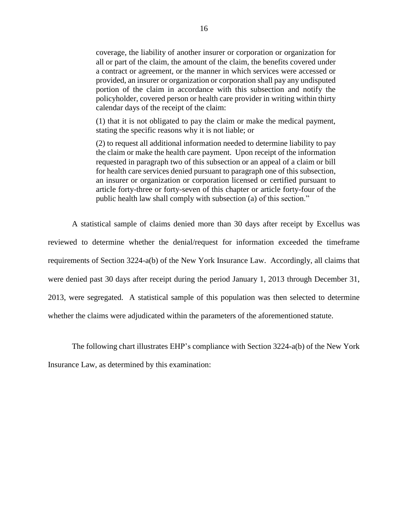coverage, the liability of another insurer or corporation or organization for provided, an insurer or organization or corporation shall pay any undisputed portion of the claim in accordance with this subsection and notify the policyholder, covered person or health care provider in writing within thirty all or part of the claim, the amount of the claim, the benefits covered under a contract or agreement, or the manner in which services were accessed or calendar days of the receipt of the claim:

 (1) that it is not obligated to pay the claim or make the medical payment, stating the specific reasons why it is not liable; or

 (2) to request all additional information needed to determine liability to pay the claim or make the health care payment. Upon receipt of the information for health care services denied pursuant to paragraph one of this subsection, an insurer or organization or corporation licensed or certified pursuant to requested in paragraph two of this subsection or an appeal of a claim or bill article forty-three or forty-seven of this chapter or article forty-four of the public health law shall comply with subsection (a) of this section."

 A statistical sample of claims denied more than 30 days after receipt by Excellus was reviewed to determine whether the denial/request for information exceeded the timeframe requirements of Section 3224-a(b) of the New York Insurance Law. Accordingly, all claims that were denied past 30 days after receipt during the period January 1, 2013 through December 31, 2013, were segregated. A statistical sample of this population was then selected to determine whether the claims were adjudicated within the parameters of the aforementioned statute.

 The following chart illustrates EHP's compliance with Section 3224-a(b) of the New York Insurance Law, as determined by this examination: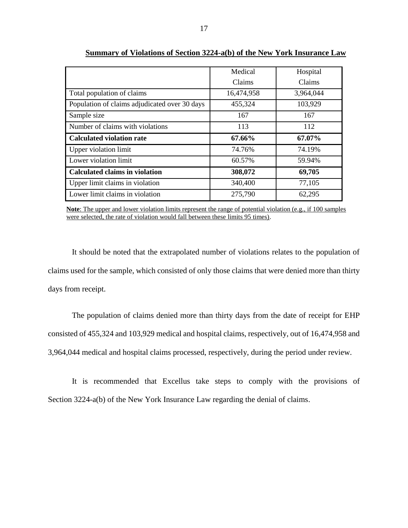|                                               | Medical    | Hospital  |  |
|-----------------------------------------------|------------|-----------|--|
|                                               | Claims     | Claims    |  |
| Total population of claims                    | 16,474,958 | 3,964,044 |  |
| Population of claims adjudicated over 30 days | 455,324    | 103,929   |  |
| Sample size                                   | 167        | 167       |  |
| Number of claims with violations              | 113        | 112       |  |
| <b>Calculated violation rate</b>              | 67.66%     | 67.07%    |  |
| Upper violation limit                         | 74.76%     | 74.19%    |  |
| Lower violation limit<br>60.57%               |            | 59.94%    |  |
| <b>Calculated claims in violation</b>         | 308,072    | 69,705    |  |
| Upper limit claims in violation               | 340,400    | 77,105    |  |
| Lower limit claims in violation               | 275,790    | 62,295    |  |

**Summary of Violations of Section 3224-a(b) of the New York Insurance Law** 

**Note**: The upper and lower violation limits represent the range of potential violation (e.g., if 100 samples were selected, the rate of violation would fall between these limits 95 times).

 claims used for the sample, which consisted of only those claims that were denied more than thirty It should be noted that the extrapolated number of violations relates to the population of days from receipt.

 The population of claims denied more than thirty days from the date of receipt for EHP consisted of 455,324 and 103,929 medical and hospital claims, respectively, out of 16,474,958 and 3,964,044 medical and hospital claims processed, respectively, during the period under review.

 It is recommended that Excellus take steps to comply with the provisions of Section 3224-a(b) of the New York Insurance Law regarding the denial of claims.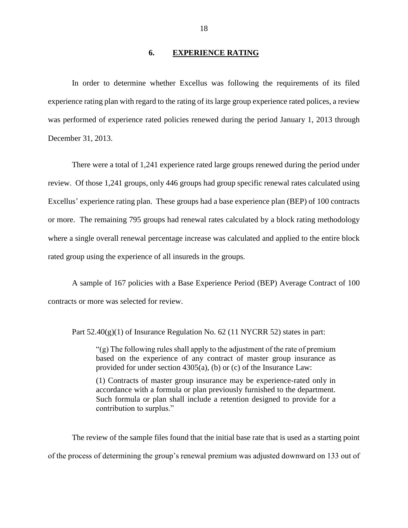#### **6. EXPERIENCE RATING**

<span id="page-19-0"></span> In order to determine whether Excellus was following the requirements of its filed experience rating plan with regard to the rating of its large group experience rated polices, a review was performed of experience rated policies renewed during the period January 1, 2013 through December 31, 2013.

 There were a total of 1,241 experience rated large groups renewed during the period under review. Of those 1,241 groups, only 446 groups had group specific renewal rates calculated using Excellus' experience rating plan. These groups had a base experience plan (BEP) of 100 contracts or more. The remaining 795 groups had renewal rates calculated by a block rating methodology where a single overall renewal percentage increase was calculated and applied to the entire block rated group using the experience of all insureds in the groups.

 A sample of 167 policies with a Base Experience Period (BEP) Average Contract of 100 contracts or more was selected for review.

Part  $52.40(g)(1)$  of Insurance Regulation No. 62 (11 NYCRR 52) states in part:

 "(g) The following rules shall apply to the adjustment of the rate of premium based on the experience of any contract of master group insurance as provided for under section 4305(a), (b) or (c) of the Insurance Law:

 (1) Contracts of master group insurance may be experience-rated only in accordance with a formula or plan previously furnished to the department. Such formula or plan shall include a retention designed to provide for a contribution to surplus."

 The review of the sample files found that the initial base rate that is used as a starting point of the process of determining the group's renewal premium was adjusted downward on 133 out of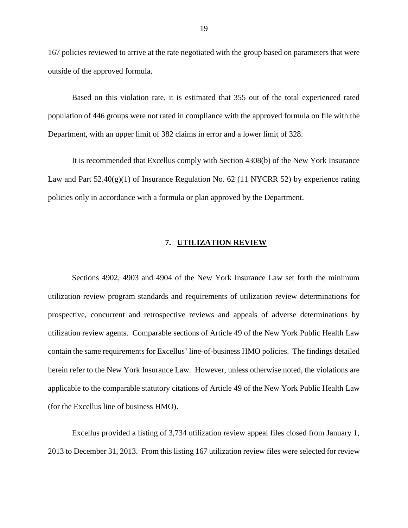<span id="page-20-0"></span> 167 policies reviewed to arrive at the rate negotiated with the group based on parameters that were outside of the approved formula.

 Based on this violation rate, it is estimated that 355 out of the total experienced rated population of 446 groups were not rated in compliance with the approved formula on file with the Department, with an upper limit of 382 claims in error and a lower limit of 328.

Law and Part 52.40(g)(1) of Insurance Regulation No. 62 (11 NYCRR 52) by experience rating policies only in accordance with a formula or plan approved by the Department. It is recommended that Excellus comply with Section 4308(b) of the New York Insurance

#### **7. UTILIZATION REVIEW**

 Sections 4902, 4903 and 4904 of the New York Insurance Law set forth the minimum utilization review agents. Comparable sections of Article 49 of the New York Public Health Law contain the same requirements for Excellus' line-of-business HMO policies. The findings detailed utilization review program standards and requirements of utilization review determinations for prospective, concurrent and retrospective reviews and appeals of adverse determinations by herein refer to the New York Insurance Law. However, unless otherwise noted, the violations are applicable to the comparable statutory citations of Article 49 of the New York Public Health Law (for the Excellus line of business HMO).

 Excellus provided a listing of 3,734 utilization review appeal files closed from January 1, 2013 to December 31, 2013. From this listing 167 utilization review files were selected for review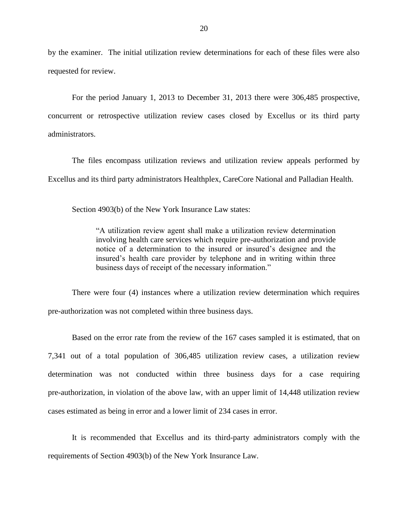by the examiner. The initial utilization review determinations for each of these files were also requested for review.

 For the period January 1, 2013 to December 31, 2013 there were 306,485 prospective, concurrent or retrospective utilization review cases closed by Excellus or its third party administrators.

The files encompass utilization reviews and utilization review appeals performed by Excellus and its third party administrators Healthplex, CareCore National and Palladian Health.

Section 4903(b) of the New York Insurance Law states:

 "A utilization review agent shall make a utilization review determination involving health care services which require pre-authorization and provide notice of a determination to the insured or insured's designee and the insured's health care provider by telephone and in writing within three business days of receipt of the necessary information."

 There were four (4) instances where a utilization review determination which requires pre-authorization was not completed within three business days.

 Based on the error rate from the review of the 167 cases sampled it is estimated, that on 7,341 out of a total population of 306,485 utilization review cases, a utilization review determination was not conducted within three business days for a case requiring pre-authorization, in violation of the above law, with an upper limit of 14,448 utilization review cases estimated as being in error and a lower limit of 234 cases in error.

 It is recommended that Excellus and its third-party administrators comply with the requirements of Section 4903(b) of the New York Insurance Law.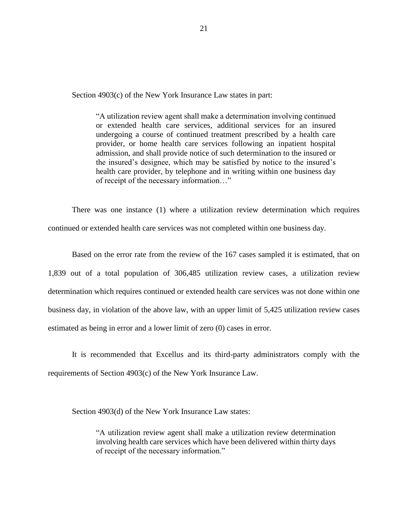Section 4903(c) of the New York Insurance Law states in part:

 "A utilization review agent shall make a determination involving continued or extended health care services, additional services for an insured undergoing a course of continued treatment prescribed by a health care admission, and shall provide notice of such determination to the insured or the insured's designee, which may be satisfied by notice to the insured's health care provider, by telephone and in writing within one business day provider, or home health care services following an inpatient hospital of receipt of the necessary information…"

 There was one instance (1) where a utilization review determination which requires continued or extended health care services was not completed within one business day.

 1,839 out of a total population of 306,485 utilization review cases, a utilization review determination which requires continued or extended health care services was not done within one Based on the error rate from the review of the 167 cases sampled it is estimated, that on business day, in violation of the above law, with an upper limit of 5,425 utilization review cases estimated as being in error and a lower limit of zero (0) cases in error.

 It is recommended that Excellus and its third-party administrators comply with the requirements of Section 4903(c) of the New York Insurance Law.

Section 4903(d) of the New York Insurance Law states:

 "A utilization review agent shall make a utilization review determination involving health care services which have been delivered within thirty days of receipt of the necessary information."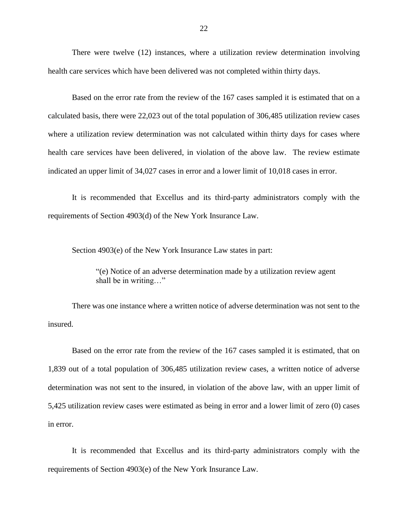There were twelve (12) instances, where a utilization review determination involving health care services which have been delivered was not completed within thirty days.

 Based on the error rate from the review of the 167 cases sampled it is estimated that on a calculated basis, there were 22,023 out of the total population of 306,485 utilization review cases where a utilization review determination was not calculated within thirty days for cases where health care services have been delivered, in violation of the above law. The review estimate indicated an upper limit of 34,027 cases in error and a lower limit of 10,018 cases in error.

 It is recommended that Excellus and its third-party administrators comply with the requirements of Section 4903(d) of the New York Insurance Law.

Section 4903(e) of the New York Insurance Law states in part:

 "(e) Notice of an adverse determination made by a utilization review agent shall be in writing…"

 There was one instance where a written notice of adverse determination was not sent to the insured.

 1,839 out of a total population of 306,485 utilization review cases, a written notice of adverse 5,425 utilization review cases were estimated as being in error and a lower limit of zero (0) cases Based on the error rate from the review of the 167 cases sampled it is estimated, that on determination was not sent to the insured, in violation of the above law, with an upper limit of in error.

 It is recommended that Excellus and its third-party administrators comply with the requirements of Section 4903(e) of the New York Insurance Law.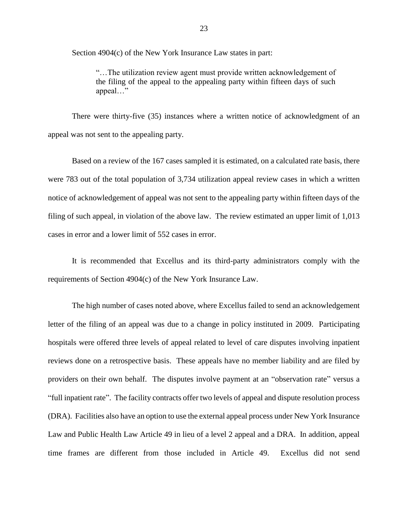Section 4904(c) of the New York Insurance Law states in part:

 "…The utilization review agent must provide written acknowledgement of the filing of the appeal to the appealing party within fifteen days of such appeal…"

 There were thirty-five (35) instances where a written notice of acknowledgment of an appeal was not sent to the appealing party.

 Based on a review of the 167 cases sampled it is estimated, on a calculated rate basis, there were 783 out of the total population of 3,734 utilization appeal review cases in which a written notice of acknowledgement of appeal was not sent to the appealing party within fifteen days of the filing of such appeal, in violation of the above law. The review estimated an upper limit of 1,013 cases in error and a lower limit of 552 cases in error.

 It is recommended that Excellus and its third-party administrators comply with the requirements of Section 4904(c) of the New York Insurance Law.

 The high number of cases noted above, where Excellus failed to send an acknowledgement letter of the filing of an appeal was due to a change in policy instituted in 2009. Participating hospitals were offered three levels of appeal related to level of care disputes involving inpatient reviews done on a retrospective basis. These appeals have no member liability and are filed by providers on their own behalf. The disputes involve payment at an "observation rate" versus a "full inpatient rate". The facility contracts offer two levels of appeal and dispute resolution process (DRA). Facilities also have an option to use the external appeal process under New York Insurance Law and Public Health Law Article 49 in lieu of a level 2 appeal and a DRA. In addition, appeal time frames are different from those included in Article 49. Excellus did not send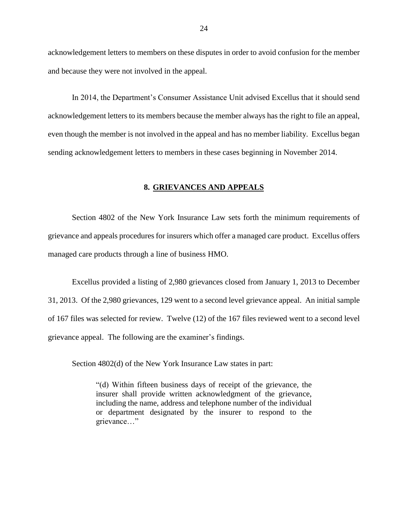<span id="page-25-0"></span> acknowledgement letters to members on these disputes in order to avoid confusion for the member and because they were not involved in the appeal.

 acknowledgement letters to its members because the member always has the right to file an appeal, In 2014, the Department's Consumer Assistance Unit advised Excellus that it should send even though the member is not involved in the appeal and has no member liability. Excellus began sending acknowledgement letters to members in these cases beginning in November 2014.

#### **8. GRIEVANCES AND APPEALS**

 Section 4802 of the New York Insurance Law sets forth the minimum requirements of grievance and appeals procedures for insurers which offer a managed care product. Excellus offers managed care products through a line of business HMO.

 Excellus provided a listing of 2,980 grievances closed from January 1, 2013 to December 31, 2013. Of the 2,980 grievances, 129 went to a second level grievance appeal. An initial sample of 167 files was selected for review. Twelve (12) of the 167 files reviewed went to a second level grievance appeal. The following are the examiner's findings.

Section 4802(d) of the New York Insurance Law states in part:

 "(d) Within fifteen business days of receipt of the grievance, the insurer shall provide written acknowledgment of the grievance, including the name, address and telephone number of the individual or department designated by the insurer to respond to the grievance…"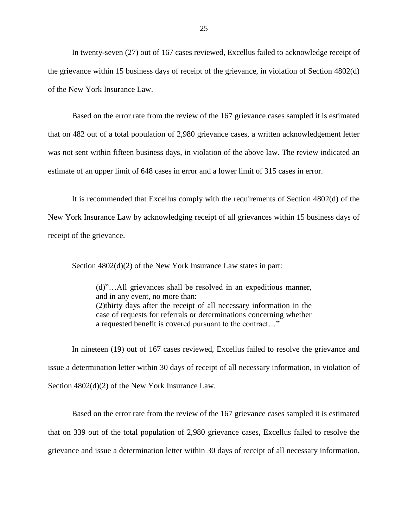In twenty-seven (27) out of 167 cases reviewed, Excellus failed to acknowledge receipt of of the New York Insurance Law. the grievance within 15 business days of receipt of the grievance, in violation of Section 4802(d)

 Based on the error rate from the review of the 167 grievance cases sampled it is estimated that on 482 out of a total population of 2,980 grievance cases, a written acknowledgement letter was not sent within fifteen business days, in violation of the above law. The review indicated an estimate of an upper limit of 648 cases in error and a lower limit of 315 cases in error.

 New York Insurance Law by acknowledging receipt of all grievances within 15 business days of receipt of the grievance. It is recommended that Excellus comply with the requirements of Section 4802(d) of the

Section  $4802(d)(2)$  of the New York Insurance Law states in part:

 (d)"…All grievances shall be resolved in an expeditious manner, (2)thirty days after the receipt of all necessary information in the case of requests for referrals or determinations concerning whether and in any event, no more than: a requested benefit is covered pursuant to the contract…"

 In nineteen (19) out of 167 cases reviewed, Excellus failed to resolve the grievance and issue a determination letter within 30 days of receipt of all necessary information, in violation of Section 4802(d)(2) of the New York Insurance Law.

 that on 339 out of the total population of 2,980 grievance cases, Excellus failed to resolve the grievance and issue a determination letter within 30 days of receipt of all necessary information, Based on the error rate from the review of the 167 grievance cases sampled it is estimated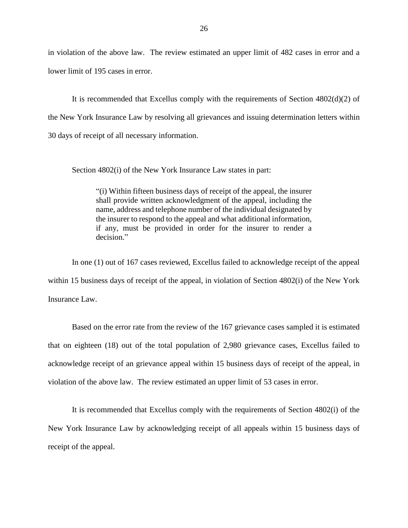in violation of the above law. The review estimated an upper limit of 482 cases in error and a lower limit of 195 cases in error.

 It is recommended that Excellus comply with the requirements of Section 4802(d)(2) of the New York Insurance Law by resolving all grievances and issuing determination letters within 30 days of receipt of all necessary information.

Section 4802(i) of the New York Insurance Law states in part:

 shall provide written acknowledgment of the appeal, including the name, address and telephone number of the individual designated by the insurer to respond to the appeal and what additional information, if any, must be provided in order for the insurer to render a "(i) Within fifteen business days of receipt of the appeal, the insurer decision."

 In one (1) out of 167 cases reviewed, Excellus failed to acknowledge receipt of the appeal within 15 business days of receipt of the appeal, in violation of Section 4802(i) of the New York Insurance Law.

 that on eighteen (18) out of the total population of 2,980 grievance cases, Excellus failed to acknowledge receipt of an grievance appeal within 15 business days of receipt of the appeal, in Based on the error rate from the review of the 167 grievance cases sampled it is estimated violation of the above law. The review estimated an upper limit of 53 cases in error.

 It is recommended that Excellus comply with the requirements of Section 4802(i) of the New York Insurance Law by acknowledging receipt of all appeals within 15 business days of receipt of the appeal.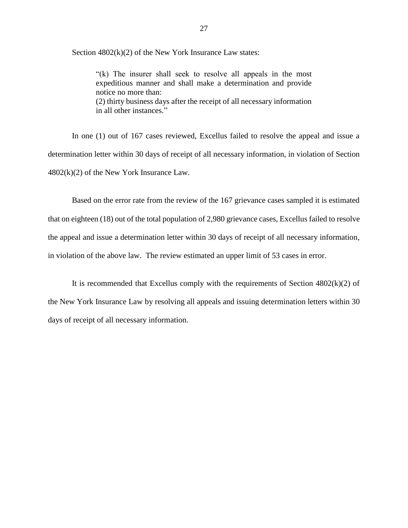Section  $4802(k)(2)$  of the New York Insurance Law states:

 "(k) The insurer shall seek to resolve all appeals in the most expeditious manner and shall make a determination and provide (2) thirty business days after the receipt of all necessary information notice no more than: in all other instances."

 In one (1) out of 167 cases reviewed, Excellus failed to resolve the appeal and issue a determination letter within 30 days of receipt of all necessary information, in violation of Section  $4802(k)(2)$  of the New York Insurance Law.

 the appeal and issue a determination letter within 30 days of receipt of all necessary information, Based on the error rate from the review of the 167 grievance cases sampled it is estimated that on eighteen (18) out of the total population of 2,980 grievance cases, Excellus failed to resolve in violation of the above law. The review estimated an upper limit of 53 cases in error.

It is recommended that Excellus comply with the requirements of Section  $4802(k)(2)$  of the New York Insurance Law by resolving all appeals and issuing determination letters within 30 days of receipt of all necessary information.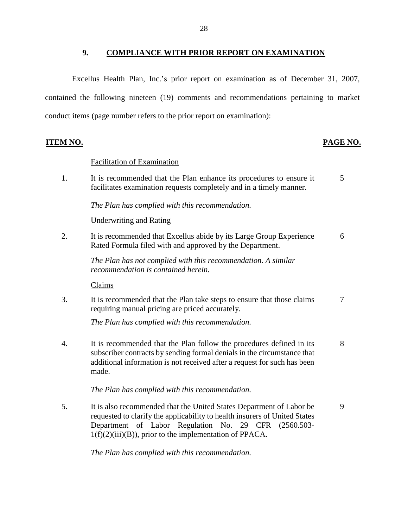### **9. COMPLIANCE WITH PRIOR REPORT ON EXAMINATION**

<span id="page-29-0"></span> Excellus Health Plan, Inc.'s prior report on examination as of December 31, 2007, contained the following nineteen (19) comments and recommendations pertaining to market conduct items (page number refers to the prior report on examination):

1. It is recommended that the Plan enhance its procedures to ensure it 5 2. It is recommended that Excellus abide by its Large Group Experience 6 3. It is recommended that the Plan take steps to ensure that those claims  $\frac{7}{7}$  subscriber contracts by sending formal denials in the circumstance that additional information is not received after a request for such has been Department of Labor Regulation No. 29 CFR (2560.503- **ITEM NO. PAGE NO.**  Facilitation of Examination facilitates examination requests completely and in a timely manner. *The Plan has complied with this recommendation.*  Underwriting and Rating Rated Formula filed with and approved by the Department. *The Plan has not complied with this recommendation. A similar recommendation is contained herein.*  Claims requiring manual pricing are priced accurately. *The Plan has complied with this recommendation.*  4. It is recommended that the Plan follow the procedures defined in its 8 made. *The Plan has complied with this recommendation.*  5. It is also recommended that the United States Department of Labor be 9 requested to clarify the applicability to health insurers of United States  $1(f)(2)(iii)(B)$ , prior to the implementation of PPACA.

*The Plan has complied with this recommendation.*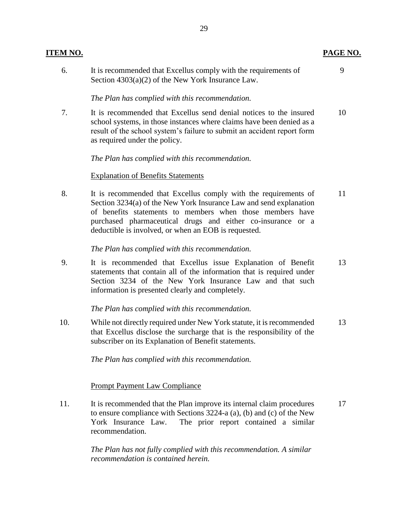| ITEM NO. |                                                                                                                                                                                                                                                                                                                           | PAGE NO. |
|----------|---------------------------------------------------------------------------------------------------------------------------------------------------------------------------------------------------------------------------------------------------------------------------------------------------------------------------|----------|
| 6.       | It is recommended that Excellus comply with the requirements of<br>Section $4303(a)(2)$ of the New York Insurance Law.                                                                                                                                                                                                    | 9        |
|          | The Plan has complied with this recommendation.                                                                                                                                                                                                                                                                           |          |
| 7.       | It is recommended that Excellus send denial notices to the insured<br>school systems, in those instances where claims have been denied as a<br>result of the school system's failure to submit an accident report form<br>as required under the policy.                                                                   | 10       |
|          | The Plan has complied with this recommendation.                                                                                                                                                                                                                                                                           |          |
|          | <b>Explanation of Benefits Statements</b>                                                                                                                                                                                                                                                                                 |          |
| 8.       | It is recommended that Excellus comply with the requirements of<br>Section 3234(a) of the New York Insurance Law and send explanation<br>of benefits statements to members when those members have<br>purchased pharmaceutical drugs and either co-insurance or a<br>deductible is involved, or when an EOB is requested. | 11       |
|          | The Plan has complied with this recommendation.                                                                                                                                                                                                                                                                           |          |
| 9.       | It is recommended that Excellus issue Explanation of Benefit<br>statements that contain all of the information that is required under<br>Section 3234 of the New York Insurance Law and that such<br>information is presented clearly and completely.                                                                     | 13       |
|          | The Plan has complied with this recommendation.                                                                                                                                                                                                                                                                           |          |
| 10.      | While not directly required under New York statute, it is recommended<br>that Excellus disclose the surcharge that is the responsibility of the<br>subscriber on its Explanation of Benefit statements.                                                                                                                   | 13       |
|          | The Plan has complied with this recommendation.                                                                                                                                                                                                                                                                           |          |
|          | <b>Prompt Payment Law Compliance</b>                                                                                                                                                                                                                                                                                      |          |
| 11.      | It is recommended that the Plan improve its internal claim procedures<br>to ensure compliance with Sections 3224-a (a), (b) and (c) of the New<br>The prior report contained a similar<br>York Insurance Law.<br>recommendation.                                                                                          | 17       |
|          |                                                                                                                                                                                                                                                                                                                           |          |

*The Plan has not fully complied with this recommendation. A similar recommendation is contained herein.*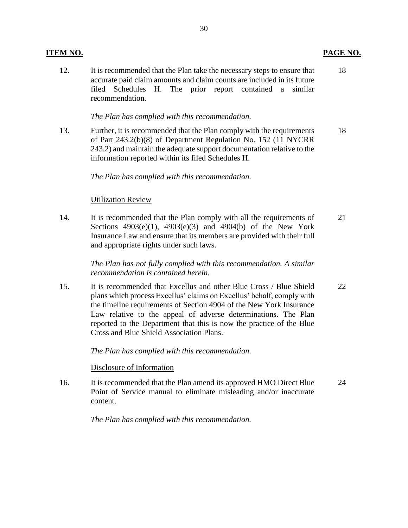12. It is recommended that the Plan take the necessary steps to ensure that 18 accurate paid claim amounts and claim counts are included in its future filed Schedules H. The prior report contained a similar recommendation.

#### *The Plan has complied with this recommendation.*

13. Further, it is recommended that the Plan comply with the requirements 18 of Part 243.2(b)(8) of Department Regulation No. 152 (11 NYCRR 243.2) and maintain the adequate support documentation relative to the information reported within its filed Schedules H.

*The Plan has complied with this recommendation.* 

#### Utilization Review

14. It is recommended that the Plan comply with all the requirements of 21 Insurance Law and ensure that its members are provided with their full Sections 4903(e)(1), 4903(e)(3) and 4904(b) of the New York and appropriate rights under such laws.

> *The Plan has not fully complied with this recommendation. A similar recommendation is contained herein.*

 plans which process Excellus' claims on Excellus' behalf, comply with Law relative to the appeal of adverse determinations. The Plan reported to the Department that this is now the practice of the Blue 15. It is recommended that Excellus and other Blue Cross / Blue Shield 22 the timeline requirements of Section 4904 of the New York Insurance Cross and Blue Shield Association Plans.

*The Plan has complied with this recommendation.* 

Disclosure of Information

 Point of Service manual to eliminate misleading and/or inaccurate 16. It is recommended that the Plan amend its approved HMO Direct Blue 24 content.

*The Plan has complied with this recommendation.*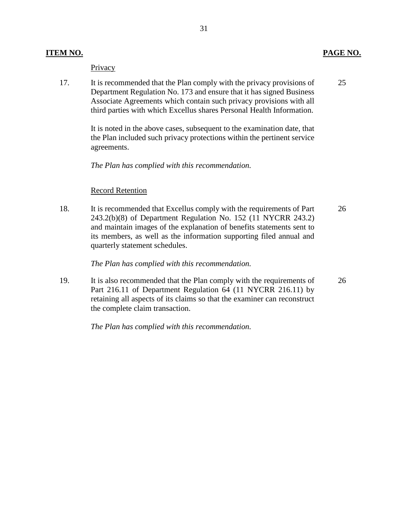#### **Privacy**

 17. It is recommended that the Plan comply with the privacy provisions of Department Regulation No. 173 and ensure that it has signed Business Associate Agreements which contain such privacy provisions with all third parties with which Excellus shares Personal Health Information. 25

> It is noted in the above cases, subsequent to the examination date, that the Plan included such privacy protections within the pertinent service agreements.

*The Plan has complied with this recommendation.* 

#### Record Retention

 243.2(b)(8) of Department Regulation No. 152 (11 NYCRR 243.2) 18. It is recommended that Excellus comply with the requirements of Part and maintain images of the explanation of benefits statements sent to its members, as well as the information supporting filed annual and quarterly statement schedules. 26

*The Plan has complied with this recommendation.* 

 Part 216.11 of Department Regulation 64 (11 NYCRR 216.11) by 19. It is also recommended that the Plan comply with the requirements of retaining all aspects of its claims so that the examiner can reconstruct the complete claim transaction. 26

*The Plan has complied with this recommendation.*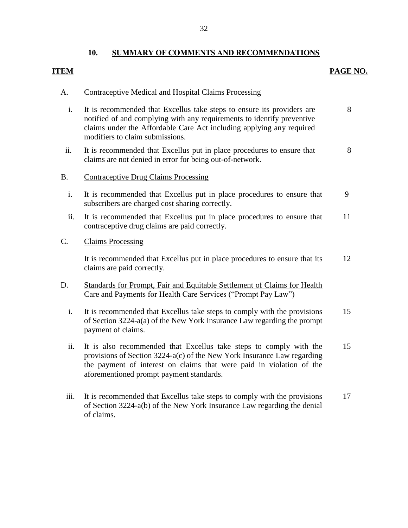### **ITEM** PAGE NO.

#### A. Contraceptive Medical and Hospital Claims Processing

- notified of and complying with any requirements to identify preventive claims under the Affordable Care Act including applying any required i. It is recommended that Excellus take steps to ensure its providers are modifiers to claim submissions. 8
- ii. It is recommended that Excellus put in place procedures to ensure that claims are not denied in error for being out-of-network. 8

### B. Contraceptive Drug Claims Processing

- i. It is recommended that Excellus put in place procedures to ensure that subscribers are charged cost sharing correctly. 9
- ii. It is recommended that Excellus put in place procedures to ensure that contraceptive drug claims are paid correctly. 11

### C. Claims Processing

 It is recommended that Excellus put in place procedures to ensure that its claims are paid correctly. 12

### D. Standards for Prompt, Fair and Equitable Settlement of Claims for Health Care and Payments for Health Care Services ("Prompt Pay Law")

- of Section 3224-a(a) of the New York Insurance Law regarding the prompt i. It is recommended that Excellus take steps to comply with the provisions payment of claims. 15
- provisions of Section 3224-a(c) of the New York Insurance Law regarding the payment of interest on claims that were paid in violation of the ii. It is also recommended that Excellus take steps to comply with the aforementioned prompt payment standards. 15
- of Section 3224-a(b) of the New York Insurance Law regarding the denial iii. It is recommended that Excellus take steps to comply with the provisions of claims. 17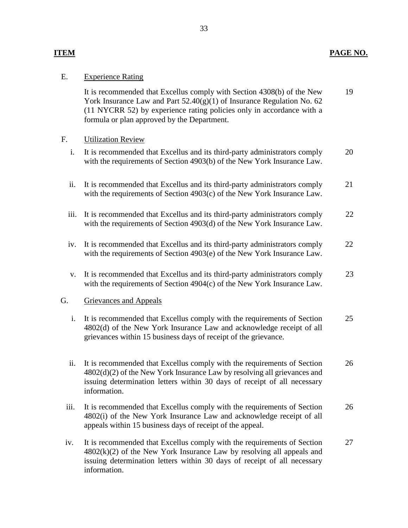#### **ITEM PAGE NO.**

#### E. Experience Rating

 York Insurance Law and Part 52.40(g)(1) of Insurance Regulation No. 62 It is recommended that Excellus comply with Section 4308(b) of the New (11 NYCRR 52) by experience rating policies only in accordance with a formula or plan approved by the Department. 19

### F. Utilization Review

- i. It is recommended that Excellus and its third-party administrators comply with the requirements of Section 4903(b) of the New York Insurance Law. 20
- ii. It is recommended that Excellus and its third-party administrators comply with the requirements of Section 4903(c) of the New York Insurance Law. 21
- iii. It is recommended that Excellus and its third-party administrators comply with the requirements of Section 4903(d) of the New York Insurance Law. 22
- iv. It is recommended that Excellus and its third-party administrators comply with the requirements of Section 4903(e) of the New York Insurance Law. 22
- v. It is recommended that Excellus and its third-party administrators comply with the requirements of Section 4904(c) of the New York Insurance Law. 23

#### G. Grievances and Appeals

- 4802(d) of the New York Insurance Law and acknowledge receipt of all i. It is recommended that Excellus comply with the requirements of Section grievances within 15 business days of receipt of the grievance. 25
- issuing determination letters within 30 days of receipt of all necessary ii. It is recommended that Excellus comply with the requirements of Section 4802(d)(2) of the New York Insurance Law by resolving all grievances and information. 26
- 4802(i) of the New York Insurance Law and acknowledge receipt of all iii. It is recommended that Excellus comply with the requirements of Section appeals within 15 business days of receipt of the appeal. 26
- 4802(k)(2) of the New York Insurance Law by resolving all appeals and issuing determination letters within 30 days of receipt of all necessary iv. It is recommended that Excellus comply with the requirements of Section information. 27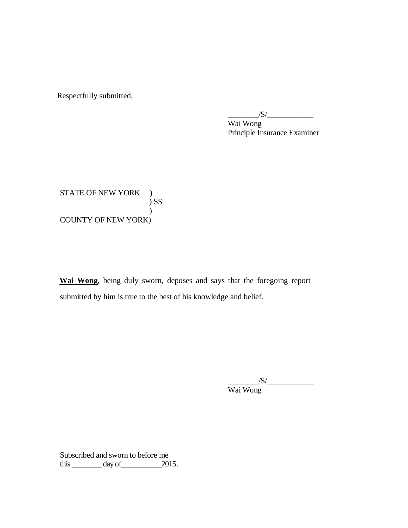Respectfully submitted,

 $\frac{1}{\sqrt{S}}$ 

 Wai Wong Principle Insurance Examiner

STATE OF NEW YORK ) COUNTY OF NEW YORK) ) SS  $\mathcal{L}$ 

 **Wai Wong**, being duly sworn, deposes and says that the foregoing report submitted by him is true to the best of his knowledge and belief.

> $/S/\sim$ Wai Wong

 Subscribed and sworn to before me this  $\_\_\_\_\_\_\$  day of  $\_\_\_\_\_\$  2015.